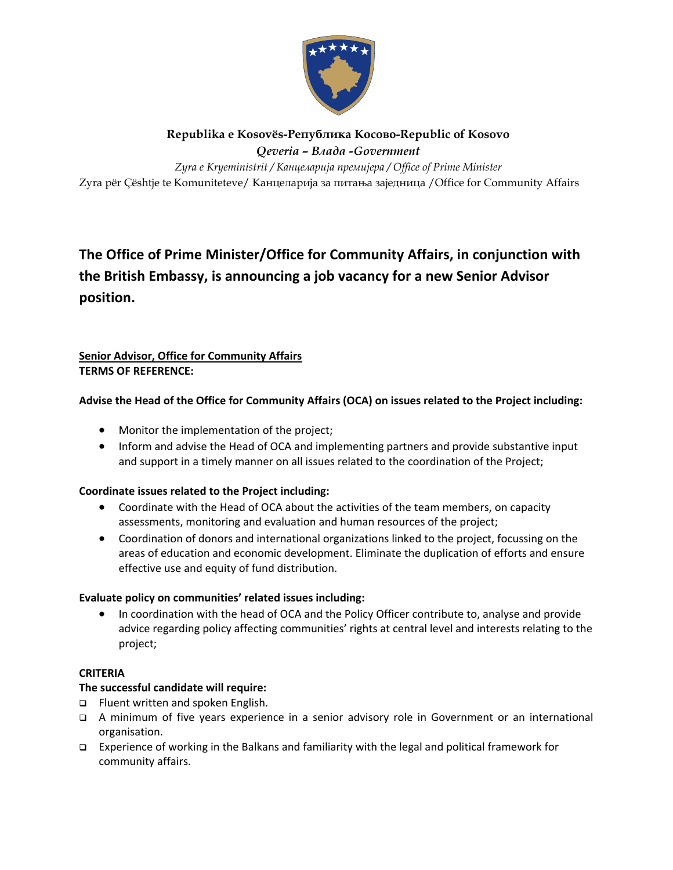

# **Republika e Kosovës-Република Косовo-Republic of Kosovo**  *Qeveria – Bлада -Government*

Zyra për Çështje te Komuniteteve/ Канцеларија за питања заједница /Office for Community Affairs *Zyra e Kryeministrit / Канцеларија премијера / Office of Prime Minister* 

# **The Office of Prime Minister/Office for Community Affairs, in conjunction with the British Embassy, is announcing a job vacancy for a new Senior Advisor position.**

# **Senior Advisor, Office for Community Affairs TERMS OF REFERENCE:**

## **Advise the Head of the Office for Community Affairs (OCA) on issues related to the Project including:**

- Monitor the implementation of the project;
- Inform and advise the Head of OCA and implementing partners and provide substantive input and support in a timely manner on all issues related to the coordination of the Project;

### **Coordinate issues related to the Project including:**

- Coordinate with the Head of OCA about the activities of the team members, on capacity assessments, monitoring and evaluation and human resources of the project;
- Coordination of donors and international organizations linked to the project, focussing on the areas of education and economic development. Eliminate the duplication of efforts and ensure effective use and equity of fund distribution.

### **Evaluate policy on communities' related issues including:**

• In coordination with the head of OCA and the Policy Officer contribute to, analyse and provide advice regarding policy affecting communities' rights at central level and interests relating to the project;

### **CRITERIA**

### **The successful candidate will require:**

- □ Fluent written and spoken English.
- A minimum of five years experience in a senior advisory role in Government or an international organisation.
- Experience of working in the Balkans and familiarity with the legal and political framework for community affairs.